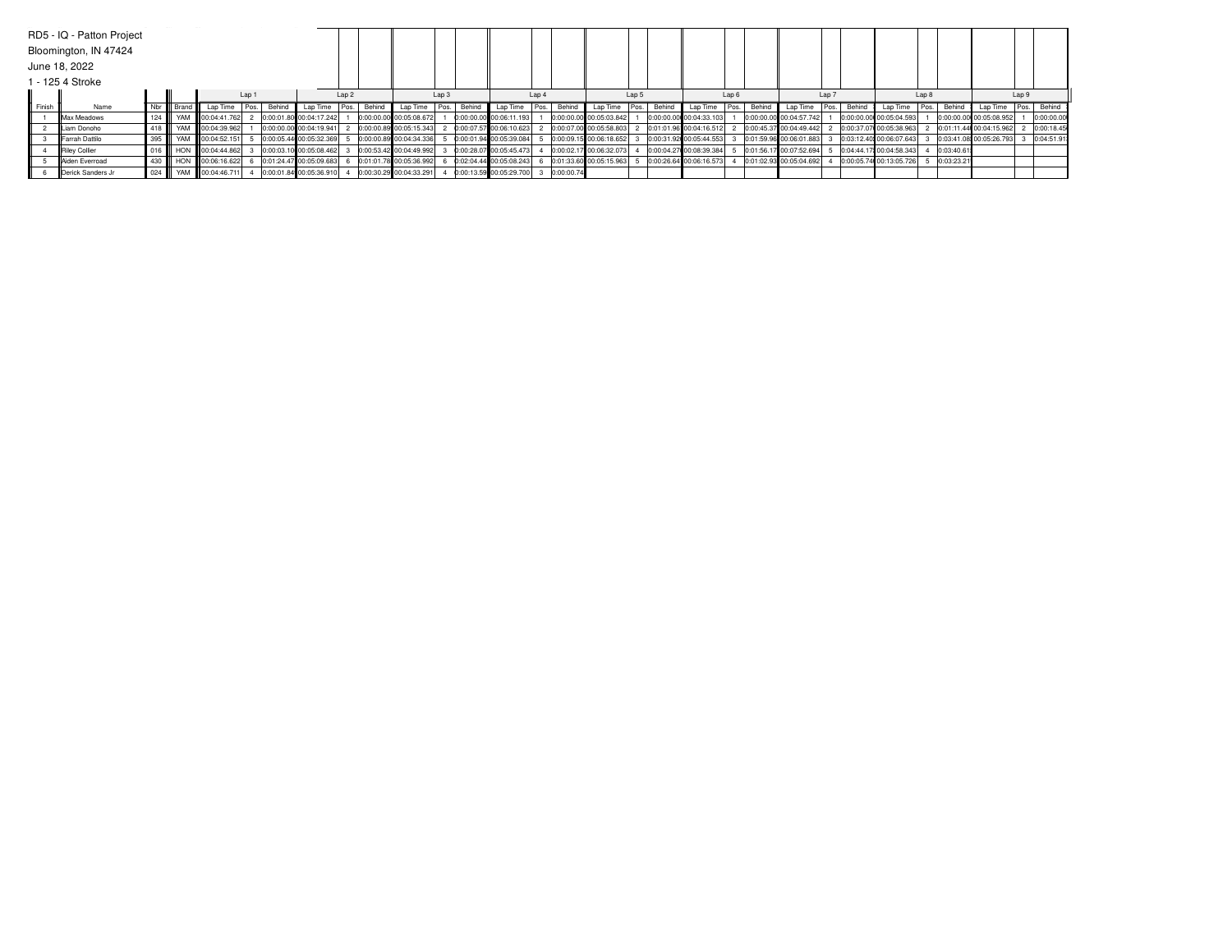|        | RD5 - IQ - Patton Project |         |                   |                        |       |        |                         |                  |            |                         |                  |        |                         |       |            |                         |       |             |                         |       |        |                         |      |        |                         |                  |            |                         |          |            |
|--------|---------------------------|---------|-------------------|------------------------|-------|--------|-------------------------|------------------|------------|-------------------------|------------------|--------|-------------------------|-------|------------|-------------------------|-------|-------------|-------------------------|-------|--------|-------------------------|------|--------|-------------------------|------------------|------------|-------------------------|----------|------------|
|        | Bloomington, IN 47424     |         |                   |                        |       |        |                         |                  |            |                         |                  |        |                         |       |            |                         |       |             |                         |       |        |                         |      |        |                         |                  |            |                         |          |            |
|        | June 18, 2022             |         |                   |                        |       |        |                         |                  |            |                         |                  |        |                         |       |            |                         |       |             |                         |       |        |                         |      |        |                         |                  |            |                         |          |            |
|        | 1 - 125 4 Stroke          |         |                   |                        |       |        |                         |                  |            |                         |                  |        |                         |       |            |                         |       |             |                         |       |        |                         |      |        |                         |                  |            |                         |          |            |
|        |                           |         |                   |                        | Lap 1 |        |                         | Lap <sub>2</sub> |            |                         | Lap <sub>3</sub> |        |                         | Lap 4 |            |                         | Lap 5 |             |                         | Lap 6 |        | Lap 7                   |      |        |                         | Lap <sub>8</sub> |            |                         | Lap 9    |            |
| Finish | Name                      |         | Nbr III Brand III | Lap Time               | Pos.  | Behind | Lap Time                | Pos.             | Behind     | Lap Time Pos.           |                  | Behind | Lap Time                | Pos   | Behind     | Lap Time                |       | Pos. Behind | Lao Time                | Pos.  | Behind | Lap Time                | Pos. | Behind | Lao Time                | Pos.             | Behind     | Lap Time                | l Pos. I | Behind     |
|        | <b>IIMax Meadows</b>      | 124     |                   | YAM 100:04:41.762      |       |        | 0:00:01.80 00:04:17.242 |                  | 0:00:00.00 | 00:05:08.672            |                  |        | 0:00:00.00 00:06:11.193 |       |            | 0:00:00.00 00:05:03.842 |       |             | 0:00:00.00 00:04:33.103 |       |        | 0:00:00.00 00:04:57.742 |      |        | 0:00:00.00 00:05:04.593 |                  |            | 0:00:00.00 00:05:08.952 |          | 0:00:00.00 |
|        | ILiam Donoho              |         |                   | 418 WAM 00:04:39.962   |       |        | 0:00:00.00 00:04:19.941 |                  |            | 0:00:00.89 00:05:15.343 |                  |        | 0:00:07.57 00:06:10.623 |       |            | 0:00:07.00 00:05:58.803 |       |             | 0:01:01.96 00:04:16.512 |       |        | 0:00:45.37 00:04:49.442 |      |        | 0:00:37.07 00:05:38.963 |                  |            | 0:01:11.44 00:04:15.962 |          | 0:00:18.45 |
|        | Farrah Dattilo            | 395     |                   | WAM 100:04:52.151      |       |        | 0:00:05.44 00:05:32.369 |                  |            | 0:00:00.89 00:04:34.336 |                  |        | 0:00:01.94 00:05:39.084 |       |            | 0:00:09.15 00:06:18.652 |       |             | 0:00:31.92 00:05:44.553 |       |        | 0:01:59.96 00:06:01.883 |      |        | 0:03:12.40 00:06:07.643 |                  |            | 0:03:41.08 00:05:26.793 |          | 0:04:51.91 |
|        | Riley Collier             |         |                   | 016 HON 00:04:44.862   |       |        | 0:00:03.10 00:05:08.462 |                  |            | 0:00:53.42 00:04:49.992 |                  |        | 0:00:28.07 00:05:45.473 |       |            | 0:00:02.17 00:06:32.073 |       |             | 0:00:04.27 00:08:39.384 |       |        | 0:01:56.17 00:07:52.694 |      |        | 0:04:44.17 00:04:58.343 |                  | 0:03:40.61 |                         |          |            |
|        | <b>IlAiden Everroad</b>   | 430 III |                   | HON   00:06:16.622     |       |        | 0:01:24.47 00:05:09.683 |                  |            | 0:01:01.78 00:05:36.992 |                  |        | 0:02:04.44 00:05:08.243 |       |            | 0:01:33.60 00:05:15.963 |       |             | 0:00:26.64 00:06:16.573 |       |        | 0:01:02.93 00:05:04.692 |      |        | 0:00:05.74 00:13:05.726 |                  | 0:03:23.21 |                         |          |            |
|        | Derick Sanders Jr         |         |                   | 024 W YAM 00:04:46.711 |       |        | 0:00:01.84 00:05:36.910 |                  |            | 0:00:30.29 00:04:33.291 |                  |        | 0:00:13.59 00:05:29.700 |       | 0:00:00.74 |                         |       |             |                         |       |        |                         |      |        |                         |                  |            |                         |          |            |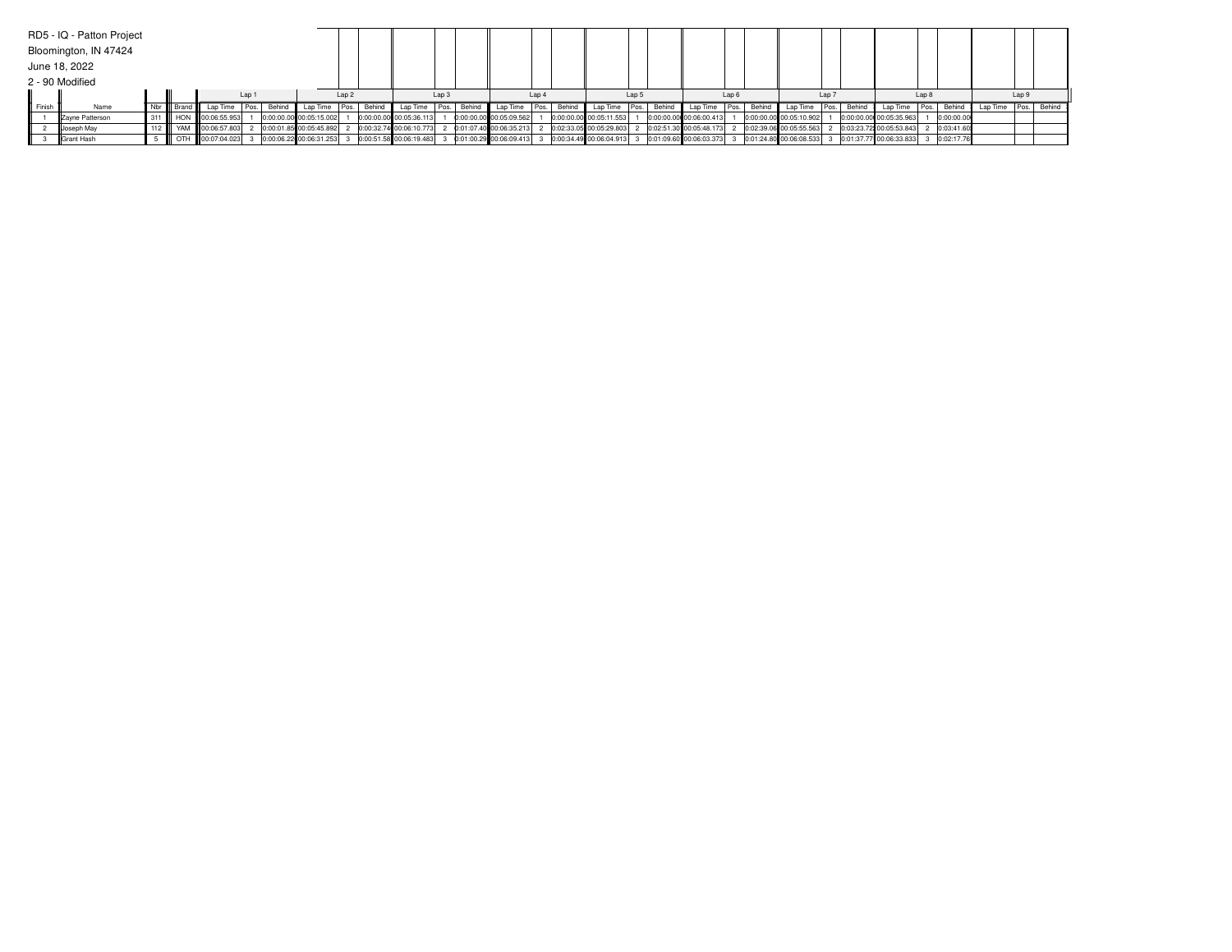|        | RD5 - IQ - Patton Project |  |                               |       |                         |                  |        |                                                   |                  |                          |       |                           |       |        |                           |       |                                                   |       |        |                         |                  |            |          |       |             |
|--------|---------------------------|--|-------------------------------|-------|-------------------------|------------------|--------|---------------------------------------------------|------------------|--------------------------|-------|---------------------------|-------|--------|---------------------------|-------|---------------------------------------------------|-------|--------|-------------------------|------------------|------------|----------|-------|-------------|
|        | Bloomington, IN 47424     |  |                               |       |                         |                  |        |                                                   |                  |                          |       |                           |       |        |                           |       |                                                   |       |        |                         |                  |            |          |       |             |
|        | June 18, 2022             |  |                               |       |                         |                  |        |                                                   |                  |                          |       |                           |       |        |                           |       |                                                   |       |        |                         |                  |            |          |       |             |
|        | 2 - 90 Modified           |  |                               |       |                         |                  |        |                                                   |                  |                          |       |                           |       |        |                           |       |                                                   |       |        |                         |                  |            |          |       |             |
|        |                           |  |                               | Lap 1 |                         | Lap <sub>2</sub> |        |                                                   | Lap <sub>3</sub> |                          | Lap 4 |                           | Lap 5 |        |                           | Lap 6 |                                                   | Lap 7 |        |                         | Lap <sub>8</sub> |            |          | Lap 9 |             |
| Finish | Name                      |  | Nbr   Brand   Lap Time   Pos. |       | Behind Lap Time         | Pos.             | Behind | Lap Time Pos. Behind                              |                  | Lap Time   Pos.   Behind |       | Lap Time Pos.             |       | Behind | Lap Time                  | Pos.  | Behind Lap Time   Pos.                            |       | Behind | Lap Time                | Pos.             | Behind     | Lao Time |       | Pos. Behind |
|        | Zayne Patterson           |  | 311 HON 00:06:55.953          |       | 0:00:00.00 00:05:15.002 |                  |        | 0:00:00.00 00:05:36.113                           |                  | 0:00:00.00 00:05:09.562  |       | 0:00:00.00 00:05:11.553   |       |        | 0:00:00.00 00:06:00.413   |       | 0:00:00.00 00:05:10.902                           |       |        | 0:00:00.00 00:05:35.963 |                  | 0:00:00.00 |          |       |             |
|        | Uoseph May                |  | YAM 00:06:57.803              |       | 0:00:01.85 00:05:45.892 |                  |        | 0:00:32.74 00:06:10.773 2 0:01:07.40 00:06:35.213 |                  |                          |       | 0:02:33.05 00:05:29.803   |       |        | 2 0:02:51.30 00:05:48.173 |       | 2 0:02:39.06 00:05:55.563                         |       |        | 0:03:23.72 00:05:53.843 |                  | 0:03:41.60 |          |       |             |
|        | Grant Hash                |  | OTH 00:07:04.023              |       | 0:00:06.22 00:06:31.253 |                  |        | 0:00:51.58 00:06:19.483 3                         |                  | 0:01:00.29 00:06:09.413  |       | 0:00:34.49 00:06:04.913 3 |       |        | 0:01:09.60 00:06:03.373   |       | 0:01:24.80 00:06:08.533 3 0:01:37.77 00:06:33.833 |       |        |                         |                  | 0:02:17.76 |          |       |             |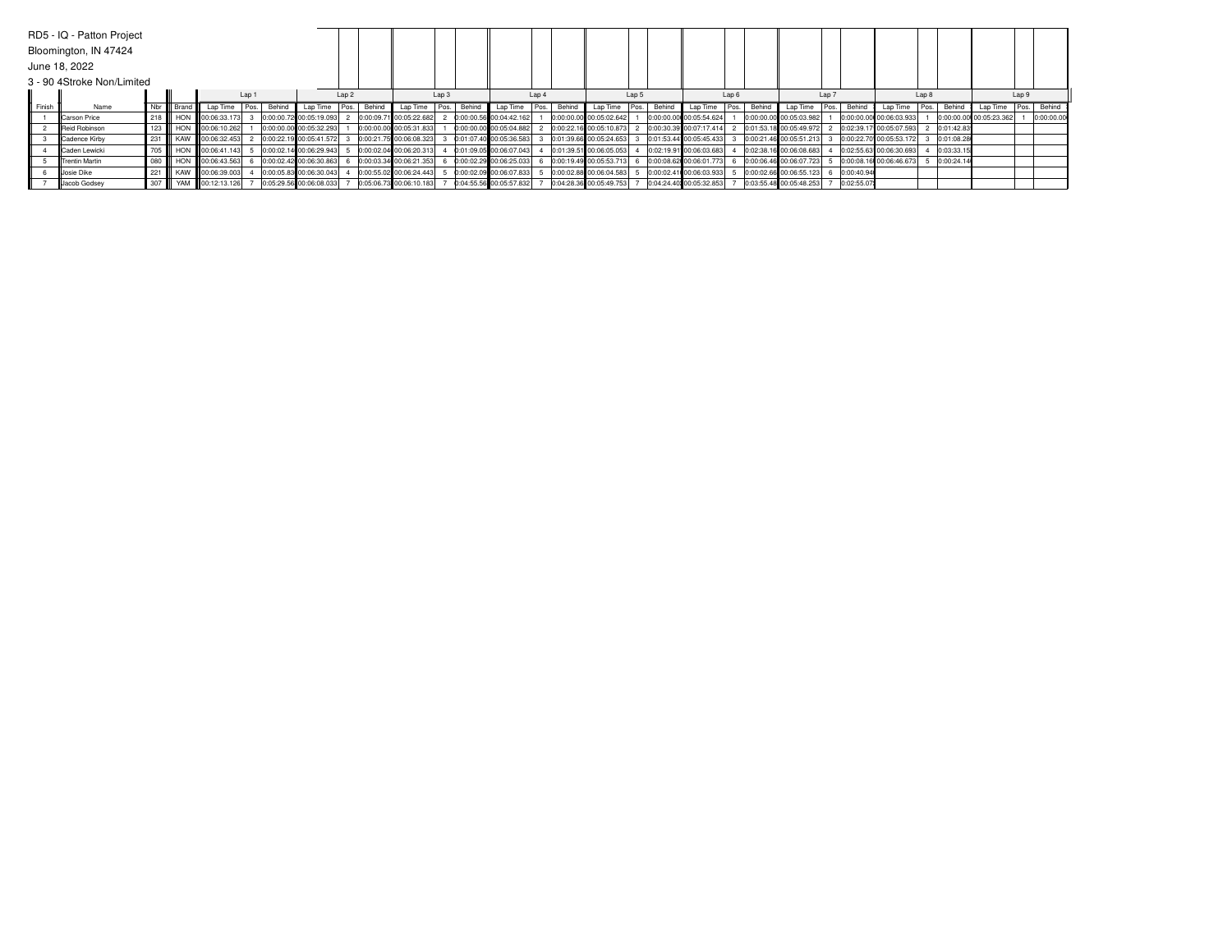|        | RD5 - IQ - Patton Project  |     |           |                                        |       |        |                         |                  |        |                         |                  |        |                         |       |        |                         |       |                         |       |        |                         |                  |             |                         |                  |               |                         |       |            |
|--------|----------------------------|-----|-----------|----------------------------------------|-------|--------|-------------------------|------------------|--------|-------------------------|------------------|--------|-------------------------|-------|--------|-------------------------|-------|-------------------------|-------|--------|-------------------------|------------------|-------------|-------------------------|------------------|---------------|-------------------------|-------|------------|
|        | Bloomington, IN 47424      |     |           |                                        |       |        |                         |                  |        |                         |                  |        |                         |       |        |                         |       |                         |       |        |                         |                  |             |                         |                  |               |                         |       |            |
|        | June 18, 2022              |     |           |                                        |       |        |                         |                  |        |                         |                  |        |                         |       |        |                         |       |                         |       |        |                         |                  |             |                         |                  |               |                         |       |            |
|        | 3 - 90 4Stroke Non/Limited |     |           |                                        |       |        |                         |                  |        |                         |                  |        |                         |       |        |                         |       |                         |       |        |                         |                  |             |                         |                  |               |                         |       |            |
|        |                            |     |           |                                        | Lap 1 |        |                         | Lap <sub>2</sub> |        |                         | Lap <sub>3</sub> |        |                         | Lap 4 |        |                         | Lap 5 |                         | Lap 6 |        |                         | Lap <sub>7</sub> |             |                         | Lap <sub>8</sub> |               |                         | Lap 9 |            |
| Finish | Name                       |     | Nbr Brand | Lap Time                               | Pos.  | Behind | Lap Time                | Pos.             | Behind | Lap Time Pos.           |                  | Behind | Lap Time                | Pos.  | Behind | Lap Time   Pos. Behind  |       | Lap Time                | Pos.  | Behind | Lap Time                |                  | Pos. Behind | Lap Time                |                  | Pos.   Behind | Lap Time                | Pos.  | Behind     |
|        | <b>ICarson Price</b>       |     |           | 218 <b>H</b> HON <b>H</b> 00:06:33.173 |       |        | 0:00:00.72 00:05:19.093 |                  |        | 0:00:09.71 00:05:22.682 |                  |        | 0:00:00.56 00:04:42.162 |       |        | 0:00:00.00 00:05:02.642 |       | 0:00:00.00 00:05:54.624 |       |        | 0:00:00.00 00:05:03.982 |                  |             | 0:00:00.00 00:06:03.933 |                  |               | 0:00:00.00 00:05:23.362 |       | 0:00:00.00 |
|        | <b>IReid Robinson</b>      |     |           | 123 HON 100:06:10.262                  |       |        | 0:00:00.00 00:05:32.293 |                  |        | 0:00:00.00 00:05:31.833 |                  |        | 0:00:00.00 00:05:04.882 |       |        | 0:00:22.16 00:05:10.873 |       | 0:00:30.39 00:07:17.414 |       |        | 0:01:53.18 00:05:49.972 |                  |             | 0:02:39.17 00:05:07.593 |                  | 2 0:01:42.83  |                         |       |            |
|        | Cadence Kirby              |     |           | 231 KAW 100:06:32.453                  |       |        | 0:00:22.19 00:05:41.572 |                  |        | 0:00:21.75 00:06:08.323 |                  |        | 0:01:07.40 00:05:36.583 |       |        | 0:01:39.66 00:05:24.653 |       | 0:01:53.44 00:05:45.433 |       |        | 0:00:21.46 00:05:51.213 |                  |             | 0:00:22.70 00:05:53.172 |                  | 0:01:08.28    |                         |       |            |
|        | <b>Caden Lewicki</b>       |     |           | 705   HON 00:06:41.143                 |       |        | 0:00:02.14 00:06:29.943 |                  |        | 0:00:02.04 00:06:20.313 |                  |        | 0:01:09.05 00:06:07.043 |       |        | 0:01:39.51 00:06:05.053 |       | 0:02:19.91 00:06:03.683 |       |        | 0:02:38.16 00:06:08.683 |                  |             | 0:02:55.63 00:06:30.693 |                  | 0:03:33.15    |                         |       |            |
|        | <b>IlTrentin Martin</b>    | 080 |           | HON 00:06:43.563                       |       |        | 0:00:02.42 00:06:30.863 |                  |        | 0:00:03.34 00:06:21.353 |                  |        | 0:00:02.29 00:06:25.033 |       |        | 0:00:19.49 00:05:53.713 |       | 0:00:08.62 00:06:01.773 |       |        | 0:00:06.46 00:06:07.723 |                  |             | 0:00:08.16 00:06:46.673 |                  | 0:00:24.14    |                         |       |            |
|        | Uosie Dike                 | 221 |           | KAW III 00:06:39.003                   |       |        | 0:00:05.83 00:06:30.043 |                  |        | 0:00:55.02 00:06:24.443 |                  |        | 0:00:02.09 00:06:07.833 |       |        | 0:00:02.88 00:06:04.583 |       | 0:00:02.41 00:06:03.933 |       |        | 0:00:02.66 00:06:55.123 |                  | 0:00:40.94  |                         |                  |               |                         |       |            |
|        | Jacob Godsey               |     |           | 307 W YAM 00:12:13.126                 |       |        | 0:05:29.56 00:06:08.033 |                  |        | 0:05:06.73 00:06:10.183 |                  |        | 0:04:55.56 00:05:57.832 |       |        | 0:04:28.36 00:05:49.753 |       | 0:04:24.40 00:05:32.853 |       |        | 0:03:55.48 00:05:48.253 |                  | 0:02:55.07  |                         |                  |               |                         |       |            |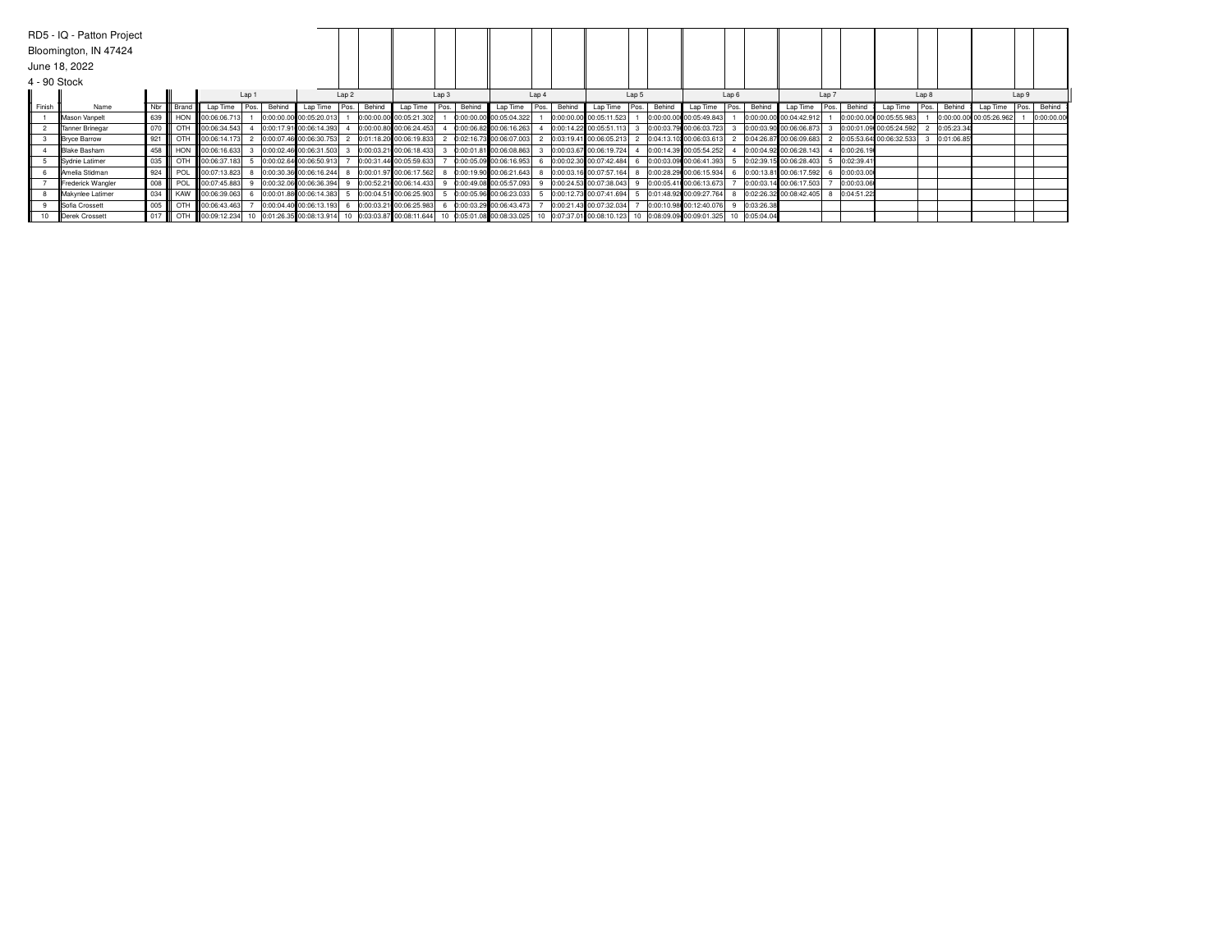|              | RD5 - IQ - Patton Project  |               |                                     |       |        |                         |                  |        |                                                   |                  |        |                                                                                                                                                                                            |       |        |                         |       |        |                                                   |       |            |                         |       |            |                         |       |            |                         |       |            |
|--------------|----------------------------|---------------|-------------------------------------|-------|--------|-------------------------|------------------|--------|---------------------------------------------------|------------------|--------|--------------------------------------------------------------------------------------------------------------------------------------------------------------------------------------------|-------|--------|-------------------------|-------|--------|---------------------------------------------------|-------|------------|-------------------------|-------|------------|-------------------------|-------|------------|-------------------------|-------|------------|
|              | Bloomington, IN 47424      |               |                                     |       |        |                         |                  |        |                                                   |                  |        |                                                                                                                                                                                            |       |        |                         |       |        |                                                   |       |            |                         |       |            |                         |       |            |                         |       |            |
|              | June 18, 2022              |               |                                     |       |        |                         |                  |        |                                                   |                  |        |                                                                                                                                                                                            |       |        |                         |       |        |                                                   |       |            |                         |       |            |                         |       |            |                         |       |            |
| 4 - 90 Stock |                            |               |                                     |       |        |                         |                  |        |                                                   |                  |        |                                                                                                                                                                                            |       |        |                         |       |        |                                                   |       |            |                         |       |            |                         |       |            |                         |       |            |
|              |                            |               |                                     | Lap 1 |        |                         | Lap <sub>2</sub> |        |                                                   | Lap <sub>3</sub> |        |                                                                                                                                                                                            | Lap 4 |        |                         | Lap 5 |        |                                                   | Lap 6 |            |                         | Lap 7 |            |                         | Lap 8 |            |                         | Lap 9 |            |
| Finish       | Name                       | Nbr III Brand | Lap Time                            | Pos.  | Behind | Lap Time                | Pos.             | Behind | Lap Time Pos.                                     |                  | Behind | Lap Time                                                                                                                                                                                   | Pos.  | Behind | Lap Time Pos.           |       | Behind | Lap Time                                          | Pos.  | Behind     | Lap Time                | Pos.  | Behind     | Lao Time                | Pos.  | Behing     | Lap Time                | Pos.  | Behind     |
|              | <b>IIMason Vanpelt</b>     |               | 639 HON 00:06:06.713                |       |        | 0:00:00.00 00:05:20.013 |                  |        | 0:00:00.00 00:05:21.302                           |                  |        | 0:00:00.00 00:05:04.322                                                                                                                                                                    |       |        | 0:00:00.00 00:05:11.523 |       |        | 0:00:00.00 00:05:49.843                           |       |            | 0:00:00.00 00:04:42.912 |       |            | 0:00:00.00 00:05:55.983 |       |            | 0:00:00.00 00:05:26.962 |       | 0:00:00.00 |
|              | Tanner Brinegar            |               | 070 CTH 00:06:34.543                |       |        | 0:00:17.91 00:06:14.393 |                  |        | 0:00:00.80 00:06:24.453                           |                  |        | 0:00:06.82 00:06:16.263                                                                                                                                                                    |       |        | 0:00:14.22 00:05:51.113 |       |        | 3 0:00:03.79 00:06:03.723                         |       |            | 0:00:03.90 00:06:06.873 |       |            | 0:00:01.09 00:05:24.592 |       | 0:05:23.34 |                         |       |            |
|              | Bryce Barrow               |               | 921   OTH 00:06:14.173              |       |        | 0:00:07.46 00:06:30.753 |                  |        | 2 0:01:18.20 00:06:19.833                         |                  |        | 0:02:16.73 00:06:07.003                                                                                                                                                                    |       |        | 0:03:19.41 00:06:05.213 |       |        | 2 0:04:13.10 00:06:03.613                         |       |            | 0:04:26.87 00:06:09.683 |       |            | 0:05:53.64 00:06:32.533 | 3     | 0:01:06.85 |                         |       |            |
|              | Blake Basham               |               | 458 <b>III HON III</b> 00:06:16.633 |       |        | 0:00:02.46 00:06:31.503 |                  |        | 0:00:03.21 00:06:18.433                           |                  |        | 0:00:01.81 00:06:08.863                                                                                                                                                                    |       |        | 0:00:03.67 00:06:19.724 |       |        | 0:00:14.39 00:05:54.252                           |       |            | 0:00:04.92 00:06:28.143 |       | 0:00:26.19 |                         |       |            |                         |       |            |
|              | Sydnie Latimer             |               | 035 CTH 00:06:37.183                |       |        | 0:00:02.64 00:06:50.913 |                  |        | 0:00:31.44 00:05:59.633                           |                  |        | 0:00:05.09 00:06:16.953                                                                                                                                                                    |       |        | 0:00:02.30 00:07:42.484 |       |        | 0:00:03.09 00:06:41.393                           |       |            | 0:02:39.15 00:06:28.403 |       | 0:02:39.41 |                         |       |            |                         |       |            |
|              | <b>IlAmelia Stidman</b>    | $924$ POL     | 00:07:13.823                        |       |        |                         |                  |        | 0:00:30.36 00:06:16.244 8 0:00:01.97 00:06:17.562 |                  |        | 0:00:19.90 00:06:21.643                                                                                                                                                                    |       |        | 0:00:03.16 00:07:57.164 |       |        | 0:00:28.29 00:06:15.934                           |       |            | 0:00:13.81 00:06:17.592 |       | 0:00:03.00 |                         |       |            |                         |       |            |
|              | Frederick Wangler          |               | 008 POL 00:07:45.883                |       |        | 0:00:32.06 00:06:36.394 | -9               |        | 0:00:52.21 00:06:14.433                           |                  |        | 0:00:49.08 00:05:57.093                                                                                                                                                                    |       |        | 0:00:24.53 00:07:38.043 |       |        | 0:00:05.41 00:06:13.673                           |       |            | 0:00:03.14 00:06:17.503 |       | 0:00:03.06 |                         |       |            |                         |       |            |
|              | <b>Il</b> Makvnlee Latimer |               | 034 KAW 00:06:39.063                |       |        |                         |                  |        | 0:00:01.88 00:06:14.383 5 0:00:04.51 00:06:25.903 |                  |        | 0:00:05.96 00:06:23.033                                                                                                                                                                    |       |        |                         |       |        | 0:00:12.73 00:07:41.694 5 0:01:48.92 00:09:27.764 |       |            | 0:02:26.32 00:08:42.405 |       | 0:04:51.22 |                         |       |            |                         |       |            |
|              | Sofia Crossett             |               | 005   OTH 00:06:43.463              |       |        |                         |                  |        | 0:00:04.40 00:06:13.193 6 0:00:03.21 00:06:25.983 |                  |        | 0:00:03.29 00:06:43.473                                                                                                                                                                    |       |        | 0:00:21.43 00:07:32.034 |       |        | 0:00:10.98 00:12:40.076                           |       | 0:03:26.38 |                         |       |            |                         |       |            |                         |       |            |
|              | Derek Crossett             |               |                                     |       |        |                         |                  |        |                                                   |                  |        | 0.05:04.04 0.09:02.234 10 0.09:12.234 10 0.01:26.35 00:08:13.914 10 0:03:03.87 00:08:11.644 10 0:05:01.08:00:08:33.025 10 0:07:37.01 00:08:10.123 10 0:08:09.09 00:09:01.325 10 0:05:04.04 |       |        |                         |       |        |                                                   |       |            |                         |       |            |                         |       |            |                         |       |            |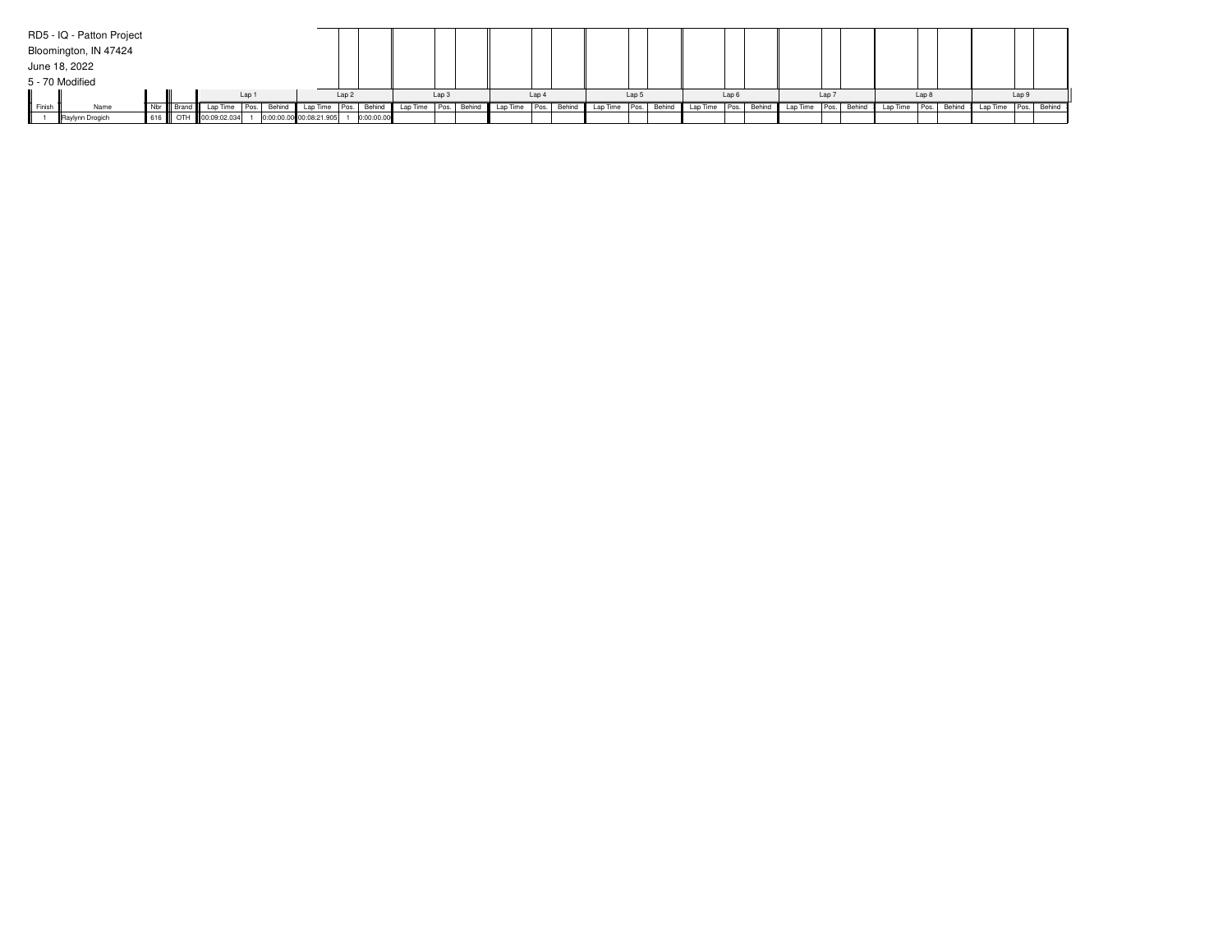|          | RD5 - IQ - Patton Project |     |                             |       |        |                         |                  |            |          |                  |             |                          |       |               |        |          |       |        |               |                  |        |          |                  |        |          |       |             |
|----------|---------------------------|-----|-----------------------------|-------|--------|-------------------------|------------------|------------|----------|------------------|-------------|--------------------------|-------|---------------|--------|----------|-------|--------|---------------|------------------|--------|----------|------------------|--------|----------|-------|-------------|
|          | Bloomington, IN 47424     |     |                             |       |        |                         |                  |            |          |                  |             |                          |       |               |        |          |       |        |               |                  |        |          |                  |        |          |       |             |
|          | June 18, 2022             |     |                             |       |        |                         |                  |            |          |                  |             |                          |       |               |        |          |       |        |               |                  |        |          |                  |        |          |       |             |
|          | 5 - 70 Modified           |     |                             |       |        |                         |                  |            |          |                  |             |                          |       |               |        |          |       |        |               |                  |        |          |                  |        |          |       |             |
|          |                           |     |                             | Lap 1 |        |                         | Lap <sub>2</sub> |            |          | Lap <sub>3</sub> |             |                          | Lap 4 |               | Lao !  |          | Lap 6 |        |               | Lap <sub>7</sub> |        |          | Lap <sub>8</sub> |        |          | Lap 9 |             |
| I Finish | Name                      |     | Nbr Brand   Lap Time   Pos. |       | Behind | Lap Time                | Pos.             | Behind     | Lap Time |                  | Pos. Behind | Lap Time   Pos.   Behind |       | Lap Time Pos. | Behind | Lap Time | Pos.  | Behind | Lap Time Pos. |                  | Behind | Lap Time | Pos.             | Behind | Lap Time |       | Pos. Behind |
|          | Raylynn Drogich           | 616 | OTH 00:09:02.034            |       |        | 0:00:00.00 00:08:21.905 |                  | 0:00:00.00 |          |                  |             |                          |       |               |        |          |       |        |               |                  |        |          |                  |        |          |       |             |